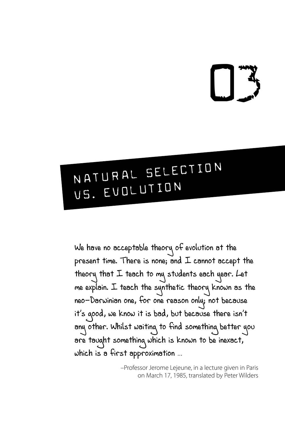# 03

# N A T U R A L SEL E C T I O N VS. EVOLUTION

We have no acceptable theory of evolution at the present time. There is none; and  $\mathcal I$  cannot accept the theory that  $I$  teach to my students each year. Let me explain.  $\mathcal I$  teach the synthetic theory known as the neo-Darwinian one, for one reason only; not because it's good, we know it is bad, but because there isn't any other. Whilst waiting to find something better you are taught something which is known to be inexact, which is a first approximation …

> –Professor Jerome Lejeune, in a lecture given in Paris on March 17, 1985, translated by Peter Wilders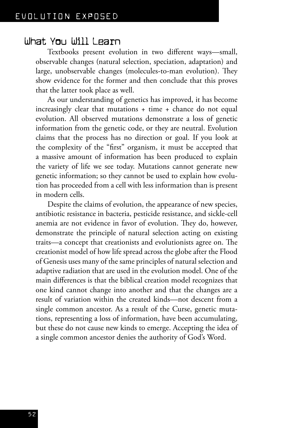### What You Will Learn

Textbooks present evolution in two different ways—small, observable changes (natural selection, speciation, adaptation) and large, unobservable changes (molecules-to-man evolution). They show evidence for the former and then conclude that this proves that the latter took place as well.

As our understanding of genetics has improved, it has become increasingly clear that mutations  $+$  time  $+$  chance do not equal evolution. All observed mutations demonstrate a loss of genetic information from the genetic code, or they are neutral. Evolution claims that the process has no direction or goal. If you look at the complexity of the "first" organism, it must be accepted that a massive amount of information has been produced to explain the variety of life we see today. Mutations cannot generate new genetic information; so they cannot be used to explain how evolution has proceeded from a cell with less information than is present in modern cells.

Despite the claims of evolution, the appearance of new species, antibiotic resistance in bacteria, pesticide resistance, and sickle-cell anemia are not evidence in favor of evolution. They do, however, demonstrate the principle of natural selection acting on existing traits—a concept that creationists and evolutionists agree on. The creationist model of how life spread across the globe after the Flood of Genesis uses many of the same principles of natural selection and adaptive radiation that are used in the evolution model. One of the main differences is that the biblical creation model recognizes that one kind cannot change into another and that the changes are a result of variation within the created kinds—not descent from a single common ancestor. As a result of the Curse, genetic mutations, representing a loss of information, have been accumulating, but these do not cause new kinds to emerge. Accepting the idea of a single common ancestor denies the authority of God's Word.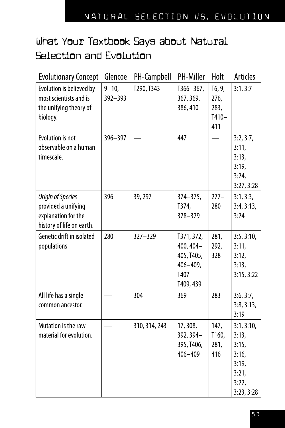# What Your Textbook Says about Natural Selection and Evolution

| <b>Evolutionary Concept</b>                                                                  | Glencoe              | PH-Campbell   | <b>PH-Miller</b>                                                                | Holt                                     | <b>Articles</b>                                                                |
|----------------------------------------------------------------------------------------------|----------------------|---------------|---------------------------------------------------------------------------------|------------------------------------------|--------------------------------------------------------------------------------|
| Evolution is believed by<br>most scientists and is<br>the unifying theory of<br>biology.     | $9 - 10,$<br>392-393 | T290, T343    | $T366 - 367$ ,<br>367, 369,<br>386,410                                          | T6, 9,<br>276,<br>283,<br>$T410-$<br>411 | 3:1, 3:7                                                                       |
| <b>Evolution is not</b><br>observable on a human<br>timescale.                               | 396-397              |               | 447                                                                             |                                          | 3:2,3:7,<br>3:11,<br>3:13,<br>3:19,<br>3:24,<br>3:27,3:28                      |
| Origin of Species<br>provided a unifying<br>explanation for the<br>history of life on earth. | 396                  | 39, 297       | $374 - 375$ ,<br>T374,<br>378-379                                               | $277-$<br>280                            | 3:1, 3:3,<br>3:4, 3:13,<br>3:24                                                |
| Genetic drift in isolated<br>populations                                                     | 280                  | $327 - 329$   | T371, 372,<br>400, 404-<br>405, T405,<br>$406 - 409$ ,<br>$T407 -$<br>T409, 439 | 281,<br>292,<br>328                      | 3:5, 3:10,<br>3:11,<br>3:12,<br>3:13,<br>3:15, 3:22                            |
| All life has a single<br>common ancestor.                                                    |                      | 304           | 369                                                                             | 283                                      | 3:6, 3:7,<br>3:8, 3:13,<br>3:19                                                |
| Mutation is the raw<br>material for evolution.                                               |                      | 310, 314, 243 | 17,308,<br>392, 394-<br>395, T406,<br>406-409                                   | 147,<br>T160,<br>281,<br>416             | 3:1, 3:10,<br>3:13,<br>3:15,<br>3:16,<br>3:19,<br>3:21,<br>3:22,<br>3:23, 3:28 |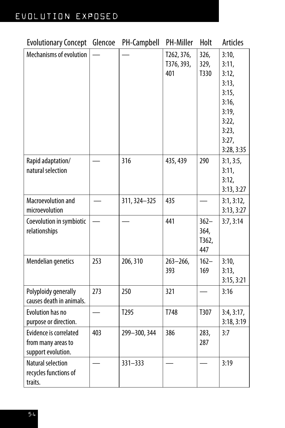# E V O L U T I O N E X P O S E D

| <b>Evolutionary Concept</b>                                        | Glencoe | PH-Campbell      | <b>PH-Miller</b>                | Holt                            | <b>Articles</b>                                                                                      |
|--------------------------------------------------------------------|---------|------------------|---------------------------------|---------------------------------|------------------------------------------------------------------------------------------------------|
| Mechanisms of evolution                                            |         |                  | T262, 376,<br>T376, 393,<br>401 | 326,<br>329,<br>T330            | 3:10,<br>3:11,<br>3:12,<br>3:13,<br>3:15,<br>3:16,<br>3:19,<br>3:22,<br>3:23,<br>3:27,<br>3:28, 3:35 |
| Rapid adaptation/<br>natural selection                             |         | 316              | 435, 439                        | 290                             | 3:1, 3:5,<br>3:11,<br>3:12,<br>3:13, 3:27                                                            |
| Macroevolution and<br>microevolution                               |         | 311, 324-325     | 435                             |                                 | 3:1, 3:12,<br>3:13, 3:27                                                                             |
| Coevolution in symbiotic<br>relationships                          |         |                  | 441                             | $362 -$<br>364,<br>T362,<br>447 | 3:7,3:14                                                                                             |
| Mendelian genetics                                                 | 253     | 206, 310         | $263 - 266$<br>393              | $162 -$<br>169                  | 3:10,<br>3:13,<br>3:15, 3:21                                                                         |
| Polyploidy generally<br>causes death in animals.                   | 273     | 250              | 321                             |                                 | 3:16                                                                                                 |
| <b>Evolution has no</b><br>purpose or direction.                   |         | T <sub>295</sub> | T748                            | T307                            | 3:4,3:17,<br>3:18, 3:19                                                                              |
| Evidence is correlated<br>from many areas to<br>support evolution. | 403     | 299-300, 344     | 386                             | 283,<br>287                     | 3:7                                                                                                  |
| <b>Natural selection</b><br>recycles functions of<br>traits.       |         | $331 - 333$      |                                 |                                 | 3:19                                                                                                 |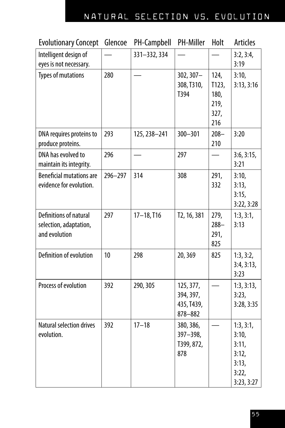# N A T U R A L SEL E C T I O N V S. EV OL U T I O N

| <b>Evolutionary Concept</b>                                       | Glencoe     | PH-Campbell    | <b>PH-Miller</b>                                | Holt                                         | <b>Articles</b>                                                     |
|-------------------------------------------------------------------|-------------|----------------|-------------------------------------------------|----------------------------------------------|---------------------------------------------------------------------|
| Intelligent design of<br>eyes is not necessary.                   |             | 331-332, 334   |                                                 |                                              | 3:2,3:4,<br>3:19                                                    |
| Types of mutations                                                | 280         |                | $302, 307 -$<br>308, T310,<br>T394              | 124,<br>T123,<br>180,<br>219,<br>327,<br>216 | 3:10,<br>3:13, 3:16                                                 |
| DNA requires proteins to<br>produce proteins.                     | 293         | 125, 238-241   | $300 - 301$                                     | $208 -$<br>210                               | 3:20                                                                |
| DNA has evolved to<br>maintain its integrity.                     | 296         |                | 297                                             |                                              | 3:6, 3:15,<br>3:21                                                  |
| <b>Beneficial mutations are</b><br>evidence for evolution.        | $296 - 297$ | 314            | 308                                             | 291,<br>332                                  | 3:10,<br>3:13,<br>3:15,<br>3:22,3:28                                |
| Definitions of natural<br>selection, adaptation,<br>and evolution | 297         | $17 - 18, T16$ | T2, 16, 381                                     | 279,<br>$288 -$<br>291,<br>825               | 1:3,3:1,<br>3:13                                                    |
| Definition of evolution                                           | 10          | 298            | 20,369                                          | 825                                          | 1:3,3:2,<br>3:4,3:13,<br>3:23                                       |
| Process of evolution                                              | 392         | 290, 305       | 125, 377,<br>394, 397,<br>435, T439,<br>878-882 |                                              | 1:3,3:13,<br>3:23,<br>3:28, 3:35                                    |
| Natural selection drives<br>evolution.                            | 392         | $17 - 18$      | 380, 386,<br>397-398,<br>T399, 872,<br>878      |                                              | 1:3,3:1,<br>3:10,<br>3:11,<br>3:12,<br>3:13,<br>3:22,<br>3:23, 3:27 |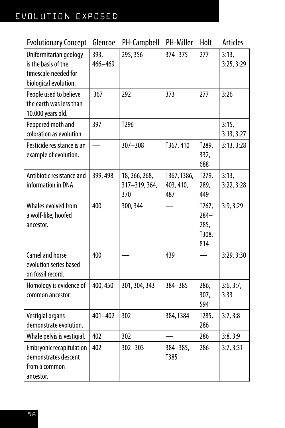| <b>Evolutionary Concept</b>                                                                    | Glencoe         | PH-Campbell                           | <b>PH-Miller</b>                | Holt                                                  | <b>Articles</b>     |
|------------------------------------------------------------------------------------------------|-----------------|---------------------------------------|---------------------------------|-------------------------------------------------------|---------------------|
| Uniformitarian geology<br>is the basis of the<br>timescale needed for<br>biological evolution. | 393,<br>466-469 | 295, 356                              | 374-375                         | 277                                                   | 3:13,<br>3:25,3:29  |
| People used to believe<br>the earth was less than<br>10,000 years old.                         | 367             | 292                                   | 373                             | 277                                                   | 3:26                |
| Peppered moth and<br>coloration as evolution                                                   | 397             | T <sub>296</sub>                      |                                 |                                                       | 3:15,<br>3:13, 3:27 |
| Pesticide resistance is an<br>example of evolution.                                            |                 | $307 - 308$                           | T367, 410                       | T289,<br>332,<br>688                                  | 3:13, 3:28          |
| Antibiotic resistance and<br>information in DNA                                                | 399, 498        | 18, 266, 268,<br>317-319, 364,<br>370 | T367, T386,<br>403, 410,<br>487 | T <sub>279</sub><br>289,<br>449                       | 3:13,<br>3:22,3:28  |
| Whales evolved from<br>a wolf-like, hoofed<br>ancestor.                                        | 400             | 300, 344                              |                                 | T <sub>267</sub> ,<br>$284 -$<br>285,<br>T308,<br>814 | 3:9, 3:29           |
| <b>Camel and horse</b><br>evolution series based<br>on fossil record.                          | 400             |                                       | 439                             |                                                       | 3:29, 3:30          |
| Homology is evidence of<br>common ancestor.                                                    | 400, 450        | 301, 304, 343                         | 384-385                         | 286,<br>307,<br>594                                   | 3:6, 3:7,<br>3:33   |
| Vestigial organs<br>demonstrate evolution.                                                     | $401 - 402$     | 302                                   | 384, T384                       | T285,<br>286                                          | 3:7,3:8             |
| Whale pelvis is vestigial.                                                                     | 402             | 302                                   |                                 | 286                                                   | 3:8,3:9             |
| Embryonic recapitulation<br>demonstrates descent<br>from a common<br>ancestor.                 | 402             | $302 - 303$                           | $384 - 385$ ,<br>T385           | 286                                                   | 3:7, 3:31           |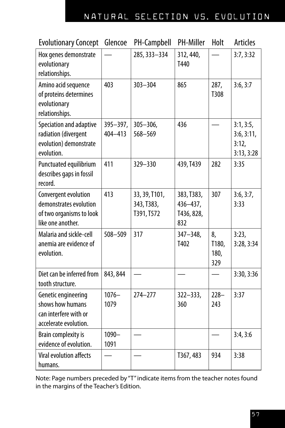# N A T U R A L SEL E C T I O N V S. EV OL UT I O N

| <b>Evolutionary Concept</b>                                                                     | Glencoe                 | PH-Campbell                               | <b>PH-Miller</b>                                 | Holt                       | <b>Articles</b>                                |
|-------------------------------------------------------------------------------------------------|-------------------------|-------------------------------------------|--------------------------------------------------|----------------------------|------------------------------------------------|
| Hox genes demonstrate<br>evolutionary<br>relationships.                                         |                         | 285, 333-334                              | 312, 440,<br>T440                                |                            | 3:7,3:32                                       |
| Amino acid sequence<br>of proteins determines<br>evolutionary<br>relationships.                 | 403                     | $303 - 304$                               | 865                                              | 287,<br>T308               | 3:6, 3:7                                       |
| Speciation and adaptive<br>radiation (divergent<br>evolution) demonstrate<br>evolution.         | $395 - 397,$<br>404-413 | $305 - 306$<br>568-569                    | 436                                              |                            | 3:1, 3:5,<br>3:6, 3:11,<br>3:12,<br>3:13, 3:28 |
| Punctuated equilibrium<br>describes gaps in fossil<br>record.                                   | 411                     | 329-330                                   | 439, T439                                        | 282                        | 3:35                                           |
| Convergent evolution<br>demonstrates evolution<br>of two organisms to look<br>like one another. | 413                     | 33, 39, T101,<br>343, T383,<br>T391, T572 | 383, T383,<br>$436 - 437$ ,<br>T436, 828,<br>832 | 307                        | 3:6, 3:7,<br>3:33                              |
| Malaria and sickle-cell<br>anemia are evidence of<br>evolution.                                 | 508-509                 | 317                                       | $347 - 348$<br>T402                              | 8,<br>T180,<br>180,<br>329 | 3:23,<br>3:28, 3:34                            |
| Diet can be inferred from<br>tooth structure.                                                   | 843, 844                |                                           |                                                  |                            | 3:30, 3:36                                     |
| Genetic engineering<br>shows how humans<br>can interfere with or<br>accelerate evolution.       | $1076 -$<br>1079        | $274 - 277$                               | $322 - 333$<br>360                               | $228 -$<br>243             | 3:37                                           |
| Brain complexity is<br>evidence of evolution.                                                   | $1090 -$<br>1091        |                                           |                                                  |                            | 3:4,3:6                                        |
| Viral evolution affects<br>humans.                                                              |                         |                                           | T367, 483                                        | 934                        | 3:38                                           |

Note: Page numbers preceded by "T" indicate items from the teacher notes found in the margins of the Teacher's Edition.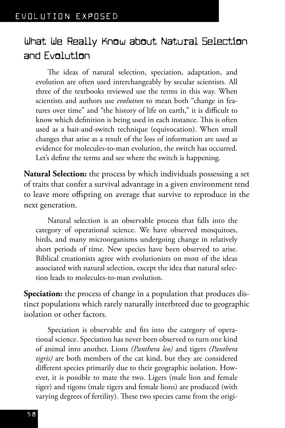# What We Really Know about Natural Selection and Evolution

The ideas of natural selection, speciation, adaptation, and evolution are often used interchangeably by secular scientists. All three of the textbooks reviewed use the terms in this way. When scientists and authors use *evolution* to mean both "change in features over time" and "the history of life on earth," it is difficult to know which definition is being used in each instance. This is often used as a bait-and-switch technique (equivocation). When small changes that arise as a result of the loss of information are used as evidence for molecules-to-man evolution, the switch has occurred. Let's define the terms and see where the switch is happening.

**Natural Selection:** the process by which individuals possessing a set of traits that confer a survival advantage in a given environment tend to leave more offspring on average that survive to reproduce in the next generation.

Natural selection is an observable process that falls into the category of operational science. We have observed mosquitoes, birds, and many microorganisms undergoing change in relatively short periods of time. New species have been observed to arise. Biblical creationists agree with evolutionists on most of the ideas associated with natural selection, except the idea that natural selection leads to molecules-to-man evolution.

**Speciation:** the process of change in a population that produces distinct populations which rarely naturally interbreed due to geographic isolation or other factors.

Speciation is observable and fits into the category of operational science. Speciation has never been observed to turn one kind of animal into another. Lions *(Panthera leo)* and tigers *(Panthera tigris)* are both members of the cat kind, but they are considered different species primarily due to their geographic isolation. However, it is possible to mate the two. Ligers (male lion and female tiger) and tigons (male tigers and female lions) are produced (with varying degrees of fertility). These two species came from the origi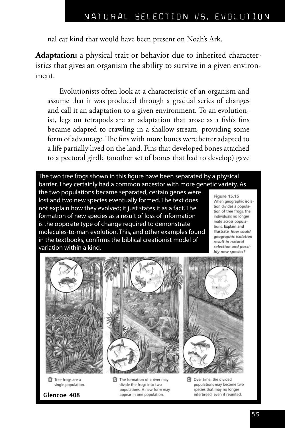nal cat kind that would have been present on Noah's Ark.

**Adaptation:** a physical trait or behavior due to inherited characteristics that gives an organism the ability to survive in a given environment.

Evolutionists often look at a characteristic of an organism and assume that it was produced through a gradual series of changes and call it an adaptation to a given environment. To an evolutionist, legs on tetrapods are an adaptation that arose as a fish's fins became adapted to crawling in a shallow stream, providing some form of advantage. The fins with more bones were better adapted to a life partially lived on the land. Fins that developed bones attached to a pectoral girdle (another set of bones that had to develop) gave

### The two tree frogs shown in this figure have been separated by a physical barrier. They certainly had a common ancestor with more genetic variety. As

the two populations became separated, certain genes were lost and two new species eventually formed. The text does not explain how they evolved; it just states it as a fact. The formation of new species as a result of loss of information is the opposite type of change required to demonstrate molecules-to-man evolution. This, and other examples found in the textbooks, confirms the biblical creationist model of variation within a kind.

Figure 15.15 When geographic isolation divides a population of tree frogs, the individuals no longer mate across populations. Explain and Illustrate How could geographic isolation result in natural selection and possibly new species?



single population.

**Glencoe 408**

The formation of a river may divide the frogs into two populations. A new form may appear in one population.

Over time, the divided populations may become two species that may no longer interbreed, even if reunited.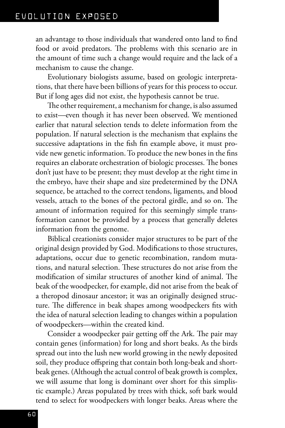an advantage to those individuals that wandered onto land to find food or avoid predators. The problems with this scenario are in the amount of time such a change would require and the lack of a mechanism to cause the change.

Evolutionary biologists assume, based on geologic interpretations, that there have been billions of years for this process to occur. But if long ages did not exist, the hypothesis cannot be true.

The other requirement, a mechanism for change, is also assumed to exist—even though it has never been observed. We mentioned earlier that natural selection tends to delete information from the population. If natural selection is the mechanism that explains the successive adaptations in the fish fin example above, it must provide new genetic information. To produce the new bones in the fins requires an elaborate orchestration of biologic processes. The bones don't just have to be present; they must develop at the right time in the embryo, have their shape and size predetermined by the DNA sequence, be attached to the correct tendons, ligaments, and blood vessels, attach to the bones of the pectoral girdle, and so on. The amount of information required for this seemingly simple transformation cannot be provided by a process that generally deletes information from the genome.

Biblical creationists consider major structures to be part of the original design provided by God. Modifications to those structures, adaptations, occur due to genetic recombination, random mutations, and natural selection. These structures do not arise from the modification of similar structures of another kind of animal. The beak of the woodpecker, for example, did not arise from the beak of a theropod dinosaur ancestor; it was an originally designed structure. The difference in beak shapes among woodpeckers fits with the idea of natural selection leading to changes within a population of woodpeckers—within the created kind.

Consider a woodpecker pair getting off the Ark. The pair may contain genes (information) for long and short beaks. As the birds spread out into the lush new world growing in the newly deposited soil, they produce offspring that contain both long-beak and shortbeak genes. (Although the actual control of beak growth is complex, we will assume that long is dominant over short for this simplistic example.) Areas populated by trees with thick, soft bark would tend to select for woodpeckers with longer beaks. Areas where the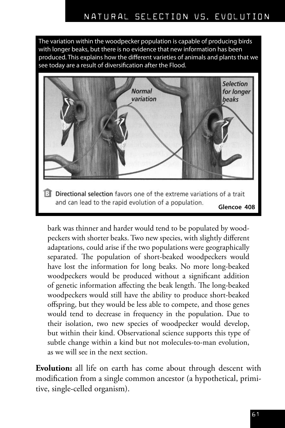The variation within the woodpecker population is capable of producing birds with longer beaks, but there is no evidence that new information has been produced. This explains how the different varieties of animals and plants that we see today are a result of diversification after the Flood.



bark was thinner and harder would tend to be populated by woodpeckers with shorter beaks. Two new species, with slightly different adaptations, could arise if the two populations were geographically separated. The population of short-beaked woodpeckers would have lost the information for long beaks. No more long-beaked woodpeckers would be produced without a significant addition of genetic information affecting the beak length. The long-beaked woodpeckers would still have the ability to produce short-beaked offspring, but they would be less able to compete, and those genes would tend to decrease in frequency in the population. Due to their isolation, two new species of woodpecker would develop, but within their kind. Observational science supports this type of subtle change within a kind but not molecules-to-man evolution, as we will see in the next section.

**Evolution:** all life on earth has come about through descent with modification from a single common ancestor (a hypothetical, primitive, single-celled organism).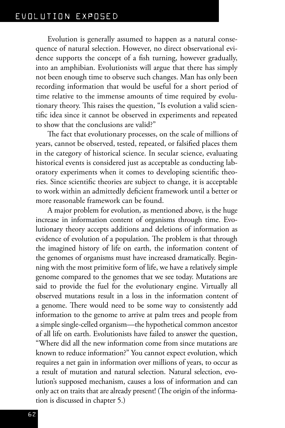Evolution is generally assumed to happen as a natural consequence of natural selection. However, no direct observational evidence supports the concept of a fish turning, however gradually, into an amphibian. Evolutionists will argue that there has simply not been enough time to observe such changes. Man has only been recording information that would be useful for a short period of time relative to the immense amounts of time required by evolutionary theory. This raises the question, "Is evolution a valid scientific idea since it cannot be observed in experiments and repeated to show that the conclusions are valid?"

The fact that evolutionary processes, on the scale of millions of years, cannot be observed, tested, repeated, or falsified places them in the category of historical science. In secular science, evaluating historical events is considered just as acceptable as conducting laboratory experiments when it comes to developing scientific theories. Since scientific theories are subject to change, it is acceptable to work within an admittedly deficient framework until a better or more reasonable framework can be found.

A major problem for evolution, as mentioned above, is the huge increase in information content of organisms through time. Evolutionary theory accepts additions and deletions of information as evidence of evolution of a population. The problem is that through the imagined history of life on earth, the information content of the genomes of organisms must have increased dramatically. Beginning with the most primitive form of life, we have a relatively simple genome compared to the genomes that we see today. Mutations are said to provide the fuel for the evolutionary engine. Virtually all observed mutations result in a loss in the information content of a genome. There would need to be some way to consistently add information to the genome to arrive at palm trees and people from a simple single-celled organism—the hypothetical common ancestor of all life on earth. Evolutionists have failed to answer the question, "Where did all the new information come from since mutations are known to reduce information?" You cannot expect evolution, which requires a net gain in information over millions of years, to occur as a result of mutation and natural selection. Natural selection, evolution's supposed mechanism, causes a loss of information and can only act on traits that are already present! (The origin of the information is discussed in chapter 5.)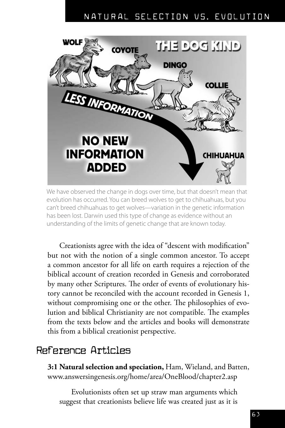### N A T U R AL SELECTION VS. EVOLUTION



We have observed the change in dogs over time, but that doesn't mean that evolution has occurred. You can breed wolves to get to chihuahuas, but you can't breed chihuahuas to get wolves—variation in the genetic information has been lost. Darwin used this type of change as evidence without an understanding of the limits of genetic change that are known today.

Creationists agree with the idea of "descent with modification" but not with the notion of a single common ancestor. To accept a common ancestor for all life on earth requires a rejection of the biblical account of creation recorded in Genesis and corroborated by many other Scriptures. The order of events of evolutionary history cannot be reconciled with the account recorded in Genesis 1, without compromising one or the other. The philosophies of evolution and biblical Christianity are not compatible. The examples from the texts below and the articles and books will demonstrate this from a biblical creationist perspective.

### Reference Articles

**3:1 Natural selection and speciation,** Ham, Wieland, and Batten, www.answersingenesis.org/home/area/OneBlood/chapter2.asp

Evolutionists often set up straw man arguments which suggest that creationists believe life was created just as it is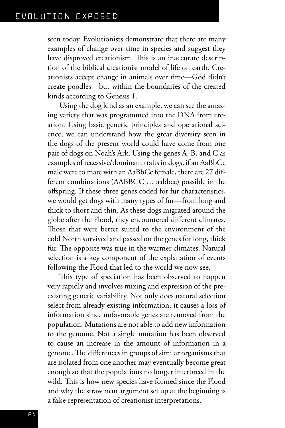seen today. Evolutionists demonstrate that there are many examples of change over time in species and suggest they have disproved creationism. This is an inaccurate description of the biblical creationist model of life on earth. Creationists accept change in animals over time—God didn't create poodles—but within the boundaries of the created kinds according to Genesis 1.

Using the dog kind as an example, we can see the amazing variety that was programmed into the DNA from creation. Using basic genetic principles and operational science, we can understand how the great diversity seen in the dogs of the present world could have come from one pair of dogs on Noah's Ark. Using the genes A, B, and C as examples of recessive/dominant traits in dogs, if an AaBbCc male were to mate with an AaBbCc female, there are 27 different combinations (AABBCC … aabbcc) possible in the offspring. If these three genes coded for fur characteristics, we would get dogs with many types of fur—from long and thick to short and thin. As these dogs migrated around the globe after the Flood, they encountered different climates. Those that were better suited to the environment of the cold North survived and passed on the genes for long, thick fur. The opposite was true in the warmer climates. Natural selection is a key component of the explanation of events following the Flood that led to the world we now see.

This type of speciation has been observed to happen very rapidly and involves mixing and expression of the preexisting genetic variability. Not only does natural selection select from already existing information, it causes a loss of information since unfavorable genes are removed from the population. Mutations are not able to add new information to the genome. Not a single mutation has been observed to cause an increase in the amount of information in a genome. The differences in groups of similar organisms that are isolated from one another may eventually become great enough so that the populations no longer interbreed in the wild. This is how new species have formed since the Flood and why the straw man argument set up at the beginning is a false representation of creationist interpretations.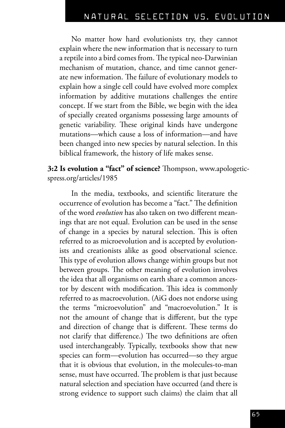No matter how hard evolutionists try, they cannot explain where the new information that is necessary to turn a reptile into a bird comes from. The typical neo-Darwinian mechanism of mutation, chance, and time cannot generate new information. The failure of evolutionary models to explain how a single cell could have evolved more complex information by additive mutations challenges the entire concept. If we start from the Bible, we begin with the idea of specially created organisms possessing large amounts of genetic variability. These original kinds have undergone mutations—which cause a loss of information—and have been changed into new species by natural selection. In this biblical framework, the history of life makes sense.

**3:2 Is evolution a "fact" of science?** Thompson, www.apologeticspress.org/articles/1985

In the media, textbooks, and scientific literature the occurrence of evolution has become a "fact." The definition of the word *evolution* has also taken on two different meanings that are not equal. Evolution can be used in the sense of change in a species by natural selection. This is often referred to as microevolution and is accepted by evolutionists and creationists alike as good observational science. This type of evolution allows change within groups but not between groups. The other meaning of evolution involves the idea that all organisms on earth share a common ancestor by descent with modification. This idea is commonly referred to as macroevolution. (AiG does not endorse using the terms "microevolution" and "macroevolution." It is not the amount of change that is different, but the type and direction of change that is different. These terms do not clarify that difference.) The two definitions are often used interchangeably. Typically, textbooks show that new species can form—evolution has occurred—so they argue that it is obvious that evolution, in the molecules-to-man sense, must have occurred. The problem is that just because natural selection and speciation have occurred (and there is strong evidence to support such claims) the claim that all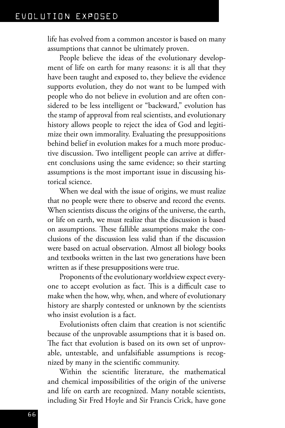life has evolved from a common ancestor is based on many assumptions that cannot be ultimately proven.

People believe the ideas of the evolutionary development of life on earth for many reasons: it is all that they have been taught and exposed to, they believe the evidence supports evolution, they do not want to be lumped with people who do not believe in evolution and are often considered to be less intelligent or "backward," evolution has the stamp of approval from real scientists, and evolutionary history allows people to reject the idea of God and legitimize their own immorality. Evaluating the presuppositions behind belief in evolution makes for a much more productive discussion. Two intelligent people can arrive at different conclusions using the same evidence; so their starting assumptions is the most important issue in discussing historical science.

When we deal with the issue of origins, we must realize that no people were there to observe and record the events. When scientists discuss the origins of the universe, the earth, or life on earth, we must realize that the discussion is based on assumptions. These fallible assumptions make the conclusions of the discussion less valid than if the discussion were based on actual observation. Almost all biology books and textbooks written in the last two generations have been written as if these presuppositions were true.

Proponents of the evolutionary worldview expect everyone to accept evolution as fact. This is a difficult case to make when the how, why, when, and where of evolutionary history are sharply contested or unknown by the scientists who insist evolution is a fact.

Evolutionists often claim that creation is not scientific because of the unprovable assumptions that it is based on. The fact that evolution is based on its own set of unprovable, untestable, and unfalsifiable assumptions is recognized by many in the scientific community.

Within the scientific literature, the mathematical and chemical impossibilities of the origin of the universe and life on earth are recognized. Many notable scientists, including Sir Fred Hoyle and Sir Francis Crick, have gone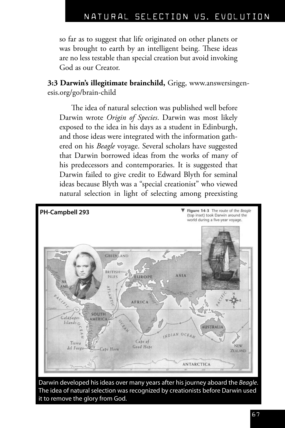so far as to suggest that life originated on other planets or was brought to earth by an intelligent being. These ideas are no less testable than special creation but avoid invoking God as our Creator.

**3:3 Darwin's illegitimate brainchild,** Grigg, www.answersingenesis.org/go/brain-child

The idea of natural selection was published well before Darwin wrote *Origin of Species*. Darwin was most likely exposed to the idea in his days as a student in Edinburgh, and those ideas were integrated with the information gathered on his *Beagle* voyage. Several scholars have suggested that Darwin borrowed ideas from the works of many of his predecessors and contemporaries. It is suggested that Darwin failed to give credit to Edward Blyth for seminal ideas because Blyth was a "special creationist" who viewed natural selection in light of selecting among preexisting



Darwin developed his ideas over many years after his journey aboard the *Beagle*. The idea of natural selection was recognized by creationists before Darwin used it to remove the glory from God.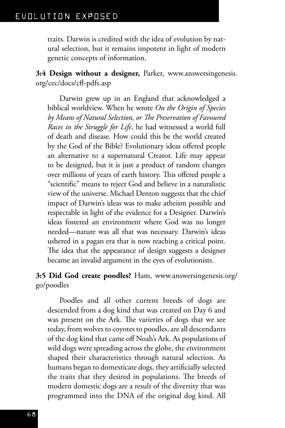traits. Darwin is credited with the idea of evolution by natural selection, but it remains impotent in light of modern genetic concepts of information.

**3:4 Design without a designer,** Parker, www.answersingenesis. org/cec/docs/cfl-pdfs.asp

Darwin grew up in an England that acknowledged a biblical worldview. When he wrote *On the Origin of Species by Means of Natural Selection, or The Preservation of Favoured Races in the Struggle for Life*, he had witnessed a world full of death and disease. How could this be the world created by the God of the Bible? Evolutionary ideas offered people an alternative to a supernatural Creator. Life may appear to be designed, but it is just a product of random changes over millions of years of earth history. This offered people a "scientific" means to reject God and believe in a naturalistic view of the universe. Michael Denton suggests that the chief impact of Darwin's ideas was to make atheism possible and respectable in light of the evidence for a Designer. Darwin's ideas fostered an environment where God was no longer needed—nature was all that was necessary. Darwin's ideas ushered in a pagan era that is now reaching a critical point. The idea that the appearance of design suggests a designer became an invalid argument in the eyes of evolutionists.

**3:5 Did God create poodles?** Ham, www.answersingenesis.org/ go/poodles

Poodles and all other current breeds of dogs are descended from a dog kind that was created on Day 6 and was present on the Ark. The varieties of dogs that we see today, from wolves to coyotes to poodles, are all descendants of the dog kind that came off Noah's Ark. As populations of wild dogs were spreading across the globe, the environment shaped their characteristics through natural selection. As humans began to domesticate dogs, they artificially selected the traits that they desired in populations. The breeds of modern domestic dogs are a result of the diversity that was programmed into the DNA of the original dog kind. All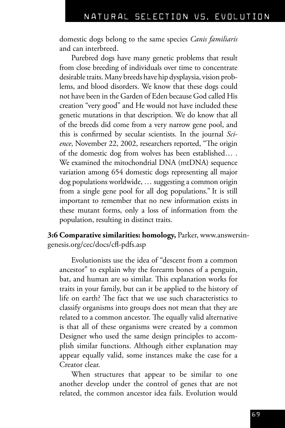domestic dogs belong to the same species *Canis familiaris* and can interbreed.

Purebred dogs have many genetic problems that result from close breeding of individuals over time to concentrate desirable traits. Many breeds have hip dysplaysia, vision problems, and blood disorders. We know that these dogs could not have been in the Garden of Eden because God called His creation "very good" and He would not have included these genetic mutations in that description. We do know that all of the breeds did come from a very narrow gene pool, and this is confirmed by secular scientists. In the journal *Science*, November 22, 2002, researchers reported, "The origin of the domestic dog from wolves has been established… . We examined the mitochondrial DNA (mtDNA) sequence variation among 654 domestic dogs representing all major dog populations worldwide, … suggesting a common origin from a single gene pool for all dog populations." It is still important to remember that no new information exists in these mutant forms, only a loss of information from the population, resulting in distinct traits.

**3:6 Comparative similarities: homology,** Parker, www.answersingenesis.org/cec/docs/cfl-pdfs.asp

Evolutionists use the idea of "descent from a common ancestor" to explain why the forearm bones of a penguin, bat, and human are so similar. This explanation works for traits in your family, but can it be applied to the history of life on earth? The fact that we use such characteristics to classify organisms into groups does not mean that they are related to a common ancestor. The equally valid alternative is that all of these organisms were created by a common Designer who used the same design principles to accomplish similar functions. Although either explanation may appear equally valid, some instances make the case for a Creator clear.

When structures that appear to be similar to one another develop under the control of genes that are not related, the common ancestor idea fails. Evolution would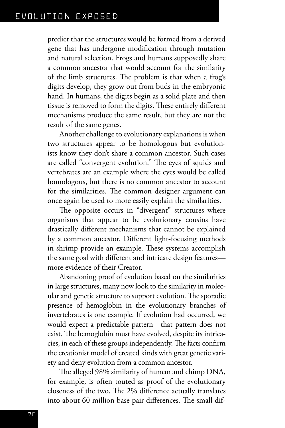predict that the structures would be formed from a derived gene that has undergone modification through mutation and natural selection. Frogs and humans supposedly share a common ancestor that would account for the similarity of the limb structures. The problem is that when a frog's digits develop, they grow out from buds in the embryonic hand. In humans, the digits begin as a solid plate and then tissue is removed to form the digits. These entirely different mechanisms produce the same result, but they are not the result of the same genes.

Another challenge to evolutionary explanations is when two structures appear to be homologous but evolutionists know they don't share a common ancestor. Such cases are called "convergent evolution." The eyes of squids and vertebrates are an example where the eyes would be called homologous, but there is no common ancestor to account for the similarities. The common designer argument can once again be used to more easily explain the similarities.

The opposite occurs in "divergent" structures where organisms that appear to be evolutionary cousins have drastically different mechanisms that cannot be explained by a common ancestor. Different light-focusing methods in shrimp provide an example. These systems accomplish the same goal with different and intricate design features more evidence of their Creator.

Abandoning proof of evolution based on the similarities in large structures, many now look to the similarity in molecular and genetic structure to support evolution. The sporadic presence of hemoglobin in the evolutionary branches of invertebrates is one example. If evolution had occurred, we would expect a predictable pattern—that pattern does not exist. The hemoglobin must have evolved, despite its intricacies, in each of these groups independently. The facts confirm the creationist model of created kinds with great genetic variety and deny evolution from a common ancestor.

The alleged 98% similarity of human and chimp DNA, for example, is often touted as proof of the evolutionary closeness of the two. The 2% difference actually translates into about 60 million base pair differences. The small dif-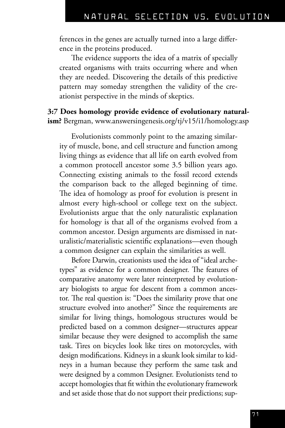ferences in the genes are actually turned into a large difference in the proteins produced.

The evidence supports the idea of a matrix of specially created organisms with traits occurring where and when they are needed. Discovering the details of this predictive pattern may someday strengthen the validity of the creationist perspective in the minds of skeptics.

**3:7 Does homology provide evidence of evolutionary naturalism?** Bergman, www.answersingenesis.org/tj/v15/i1/homology.asp

Evolutionists commonly point to the amazing similarity of muscle, bone, and cell structure and function among living things as evidence that all life on earth evolved from a common protocell ancestor some 3.5 billion years ago. Connecting existing animals to the fossil record extends the comparison back to the alleged beginning of time. The idea of homology as proof for evolution is present in almost every high-school or college text on the subject. Evolutionists argue that the only naturalistic explanation for homology is that all of the organisms evolved from a common ancestor. Design arguments are dismissed in naturalistic/materialistic scientific explanations—even though a common designer can explain the similarities as well.

Before Darwin, creationists used the idea of "ideal archetypes" as evidence for a common designer. The features of comparative anatomy were later reinterpreted by evolutionary biologists to argue for descent from a common ancestor. The real question is: "Does the similarity prove that one structure evolved into another?" Since the requirements are similar for living things, homologous structures would be predicted based on a common designer—structures appear similar because they were designed to accomplish the same task. Tires on bicycles look like tires on motorcycles, with design modifications. Kidneys in a skunk look similar to kidneys in a human because they perform the same task and were designed by a common Designer. Evolutionists tend to accept homologies that fit within the evolutionary framework and set aside those that do not support their predictions; sup-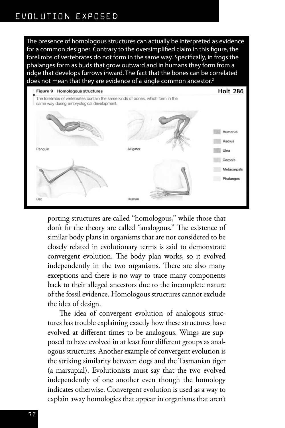### EVOLUTION EXPOSED

The presence of homologous structures can actually be interpreted as evidence for a common designer. Contrary to the oversimplified claim in this figure, the forelimbs of vertebrates do not form in the same way. Specifically, in frogs the phalanges form as buds that grow outward and in humans they form from a ridge that develops furrows inward. The fact that the bones can be correlated does not mean that they are evidence of a single common ancestor.<sup>2</sup>



porting structures are called "homologous," while those that don't fit the theory are called "analogous." The existence of similar body plans in organisms that are not considered to be closely related in evolutionary terms is said to demonstrate convergent evolution. The body plan works, so it evolved independently in the two organisms. There are also many exceptions and there is no way to trace many components back to their alleged ancestors due to the incomplete nature of the fossil evidence. Homologous structures cannot exclude the idea of design.

The idea of convergent evolution of analogous structures has trouble explaining exactly how these structures have evolved at different times to be analogous. Wings are supposed to have evolved in at least four different groups as analogous structures. Another example of convergent evolution is the striking similarity between dogs and the Tasmanian tiger (a marsupial). Evolutionists must say that the two evolved independently of one another even though the homology indicates otherwise. Convergent evolution is used as a way to explain away homologies that appear in organisms that aren't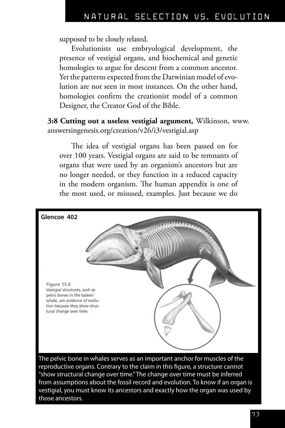supposed to be closely related.

Evolutionists use embryological development, the presence of vestigial organs, and biochemical and genetic homologies to argue for descent from a common ancestor. Yet the patterns expected from the Darwinian model of evolution are not seen in most instances. On the other hand, homologies confirm the creationist model of a common Designer, the Creator God of the Bible.

**3:8 Cutting out a useless vestigial argument,** Wilkinson, www. answersingenesis.org/creation/v26/i3/vestigial.asp

The idea of vestigial organs has been passed on for over 100 years. Vestigial organs are said to be remnants of organs that were used by an organism's ancestors but are no longer needed, or they function in a reduced capacity in the modern organism. The human appendix is one of the most used, or misused, examples. Just because we do

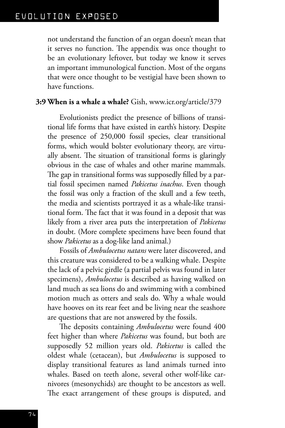not understand the function of an organ doesn't mean that it serves no function. The appendix was once thought to be an evolutionary leftover, but today we know it serves an important immunological function. Most of the organs that were once thought to be vestigial have been shown to have functions.

### **3:9 When is a whale a whale?** Gish, www.icr.org/article/379

Evolutionists predict the presence of billions of transitional life forms that have existed in earth's history. Despite the presence of 250,000 fossil species, clear transitional forms, which would bolster evolutionary theory, are virtually absent. The situation of transitional forms is glaringly obvious in the case of whales and other marine mammals. The gap in transitional forms was supposedly filled by a partial fossil specimen named *Pakicetus inachus*. Even though the fossil was only a fraction of the skull and a few teeth, the media and scientists portrayed it as a whale-like transitional form. The fact that it was found in a deposit that was likely from a river area puts the interpretation of *Pakicetus* in doubt. (More complete specimens have been found that show *Pakicetus* as a dog-like land animal.)

Fossils of *Ambulocetus natans* were later discovered, and this creature was considered to be a walking whale. Despite the lack of a pelvic girdle (a partial pelvis was found in later specimens), *Ambulocetus* is described as having walked on land much as sea lions do and swimming with a combined motion much as otters and seals do. Why a whale would have hooves on its rear feet and be living near the seashore are questions that are not answered by the fossils.

The deposits containing *Ambulocetus* were found 400 feet higher than where *Pakicetus* was found, but both are supposedly 52 million years old. *Pakicetus* is called the oldest whale (cetacean), but *Ambulocetus* is supposed to display transitional features as land animals turned into whales. Based on teeth alone, several other wolf-like carnivores (mesonychids) are thought to be ancestors as well. The exact arrangement of these groups is disputed, and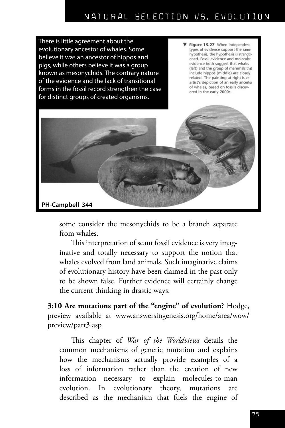### N A T U R AL SELECTION VS. EVOLUTION

There is little agreement about the evolutionary ancestor of whales. Some believe it was an ancestor of hippos and pigs, while others believe it was a group known as mesonychids. The contrary nature of the evidence and the lack of transitional forms in the fossil record strengthen the case for distinct groups of created organisms.

Figure 15-27 When independent types of evidence support the same hypothesis, the hypothesis is strengthened. Fossil evidence and molecular evidence both suggest that whales (left) and the group of mammals that include hippos (middle) are closely related. The painting at right is an artist's depiction of an early ancestor of whales, based on fossils discovered in the early 2000s.



some consider the mesonychids to be a branch separate from whales.

This interpretation of scant fossil evidence is very imaginative and totally necessary to support the notion that whales evolved from land animals. Such imaginative claims of evolutionary history have been claimed in the past only to be shown false. Further evidence will certainly change the current thinking in drastic ways.

**3:10 Are mutations part of the "engine" of evolution?** Hodge, preview available at www.answersingenesis.org/home/area/wow/ preview/part3.asp

This chapter of *War of the Worldviews* details the common mechanisms of genetic mutation and explains how the mechanisms actually provide examples of a loss of information rather than the creation of new information necessary to explain molecules-to-man evolution. In evolutionary theory, mutations are described as the mechanism that fuels the engine of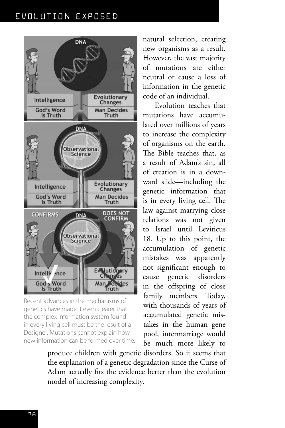

Recent advances in the mechanisms of genetics have made it even clearer that the complex information system found in every living cell must be the result of a Designer. Mutations cannot explain how new information can be formed over time. natural selection, creating new organisms as a result. However, the vast majority of mutations are either neutral or cause a loss of information in the genetic code of an individual.

Evolution teaches that mutations have accumulated over millions of years to increase the complexity of organisms on the earth. The Bible teaches that, as a result of Adam's sin, all of creation is in a downward slide—including the genetic information that is in every living cell. The law against marrying close relations was not given to Israel until Leviticus 18. Up to this point, the accumulation of genetic mistakes was apparently not significant enough to cause genetic disorders in the offspring of close family members. Today, with thousands of years of accumulated genetic mistakes in the human gene pool, intermarriage would be much more likely to

produce children with genetic disorders. So it seems that the explanation of a genetic degradation since the Curse of Adam actually fits the evidence better than the evolution model of increasing complexity.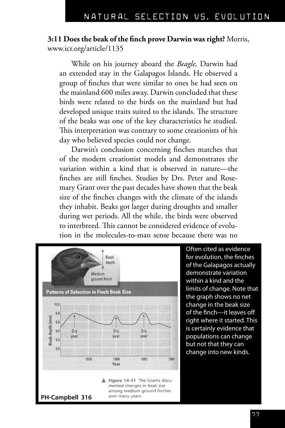**3:11 Does the beak of the finch prove Darwin was right?** Morris, www.icr.org/article/1135

While on his journey aboard the *Beagle,* Darwin had an extended stay in the Galapagos Islands. He observed a group of finches that were similar to ones he had seen on the mainland 600 miles away. Darwin concluded that these birds were related to the birds on the mainland but had developed unique traits suited to the islands. The structure of the beaks was one of the key characteristics he studied. This interpretation was contrary to some creationists of his day who believed species could not change.

Darwin's conclusion concerning finches matches that of the modern creationist models and demonstrates the variation within a kind that is observed in nature—the finches are still finches. Studies by Drs. Peter and Rosemary Grant over the past decades have shown that the beak size of the finches changes with the climate of the islands they inhabit. Beaks got larger during droughts and smaller during wet periods. All the while, the birds were observed to interbreed. This cannot be considered evidence of evolution in the molecules-to-man sense because there was no



Often cited as evidence for evolution, the finches of the Galapagos actually demonstrate variation within a kind and the limits of change. Note that the graph shows no net change in the beak size of the finch—it leaves off right where it started. This is certainly evidence that populations can change but not that they can change into new kinds.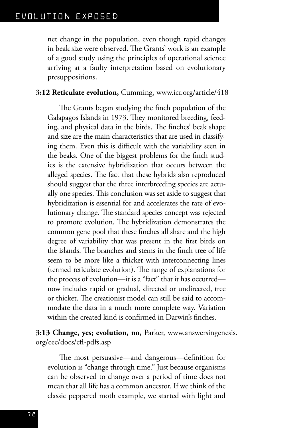net change in the population, even though rapid changes in beak size were observed. The Grants' work is an example of a good study using the principles of operational science arriving at a faulty interpretation based on evolutionary presuppositions.

### **3:12 Reticulate evolution,** Cumming, www.icr.org/article/418

The Grants began studying the finch population of the Galapagos Islands in 1973. They monitored breeding, feeding, and physical data in the birds. The finches' beak shape and size are the main characteristics that are used in classifying them. Even this is difficult with the variability seen in the beaks. One of the biggest problems for the finch studies is the extensive hybridization that occurs between the alleged species. The fact that these hybrids also reproduced should suggest that the three interbreeding species are actually one species. This conclusion was set aside to suggest that hybridization is essential for and accelerates the rate of evolutionary change. The standard species concept was rejected to promote evolution. The hybridization demonstrates the common gene pool that these finches all share and the high degree of variability that was present in the first birds on the islands. The branches and stems in the finch tree of life seem to be more like a thicket with interconnecting lines (termed reticulate evolution). The range of explanations for the process of evolution—it is a "fact" that it has occurred now includes rapid or gradual, directed or undirected, tree or thicket. The creationist model can still be said to accommodate the data in a much more complete way. Variation within the created kind is confirmed in Darwin's finches.

**3:13 Change, yes; evolution, no,** Parker, www.answersingenesis. org/cec/docs/cfl-pdfs.asp

The most persuasive—and dangerous—definition for evolution is "change through time." Just because organisms can be observed to change over a period of time does not mean that all life has a common ancestor. If we think of the classic peppered moth example, we started with light and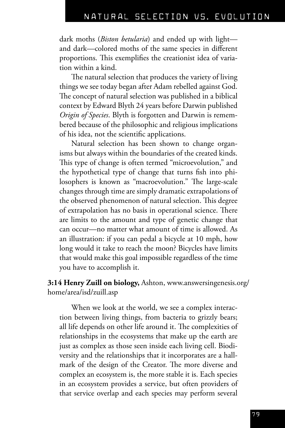dark moths (*Biston betularia*) and ended up with light and dark—colored moths of the same species in different proportions. This exemplifies the creationist idea of variation within a kind.

The natural selection that produces the variety of living things we see today began after Adam rebelled against God. The concept of natural selection was published in a biblical context by Edward Blyth 24 years before Darwin published *Origin of Species*. Blyth is forgotten and Darwin is remembered because of the philosophic and religious implications of his idea, not the scientific applications.

Natural selection has been shown to change organisms but always within the boundaries of the created kinds. This type of change is often termed "microevolution," and the hypothetical type of change that turns fish into philosophers is known as "macroevolution." The large-scale changes through time are simply dramatic extrapolations of the observed phenomenon of natural selection. This degree of extrapolation has no basis in operational science. There are limits to the amount and type of genetic change that can occur—no matter what amount of time is allowed. As an illustration: if you can pedal a bicycle at 10 mph, how long would it take to reach the moon? Bicycles have limits that would make this goal impossible regardless of the time you have to accomplish it.

**3:14 Henry Zuill on biology,** Ashton, www.answersingenesis.org/ home/area/isd/zuill.asp

When we look at the world, we see a complex interaction between living things, from bacteria to grizzly bears; all life depends on other life around it. The complexities of relationships in the ecosystems that make up the earth are just as complex as those seen inside each living cell. Biodiversity and the relationships that it incorporates are a hallmark of the design of the Creator. The more diverse and complex an ecosystem is, the more stable it is. Each species in an ecosystem provides a service, but often providers of that service overlap and each species may perform several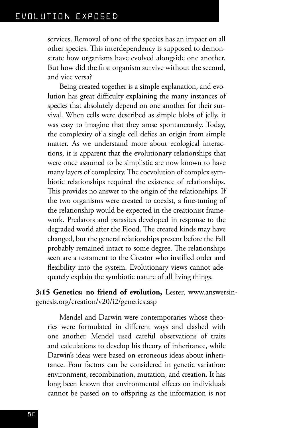services. Removal of one of the species has an impact on all other species. This interdependency is supposed to demonstrate how organisms have evolved alongside one another. But how did the first organism survive without the second, and vice versa?

Being created together is a simple explanation, and evolution has great difficulty explaining the many instances of species that absolutely depend on one another for their survival. When cells were described as simple blobs of jelly, it was easy to imagine that they arose spontaneously. Today, the complexity of a single cell defies an origin from simple matter. As we understand more about ecological interactions, it is apparent that the evolutionary relationships that were once assumed to be simplistic are now known to have many layers of complexity. The coevolution of complex symbiotic relationships required the existence of relationships. This provides no answer to the origin of the relationships. If the two organisms were created to coexist, a fine-tuning of the relationship would be expected in the creationist framework. Predators and parasites developed in response to the degraded world after the Flood. The created kinds may have changed, but the general relationships present before the Fall probably remained intact to some degree. The relationships seen are a testament to the Creator who instilled order and flexibility into the system. Evolutionary views cannot adequately explain the symbiotic nature of all living things.

**3:15 Genetics: no friend of evolution,** Lester, www.answersingenesis.org/creation/v20/i2/genetics.asp

Mendel and Darwin were contemporaries whose theories were formulated in different ways and clashed with one another. Mendel used careful observations of traits and calculations to develop his theory of inheritance, while Darwin's ideas were based on erroneous ideas about inheritance. Four factors can be considered in genetic variation: environment, recombination, mutation, and creation. It has long been known that environmental effects on individuals cannot be passed on to offspring as the information is not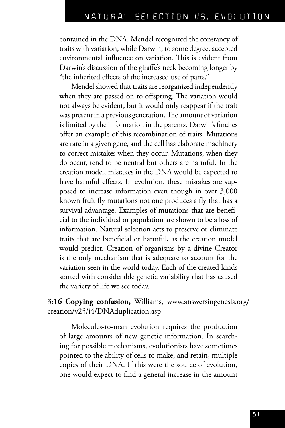contained in the DNA. Mendel recognized the constancy of traits with variation, while Darwin, to some degree, accepted environmental influence on variation. This is evident from Darwin's discussion of the giraffe's neck becoming longer by "the inherited effects of the increased use of parts."

Mendel showed that traits are reorganized independently when they are passed on to offspring. The variation would not always be evident, but it would only reappear if the trait was present in a previous generation. The amount of variation is limited by the information in the parents. Darwin's finches offer an example of this recombination of traits. Mutations are rare in a given gene, and the cell has elaborate machinery to correct mistakes when they occur. Mutations, when they do occur, tend to be neutral but others are harmful. In the creation model, mistakes in the DNA would be expected to have harmful effects. In evolution, these mistakes are supposed to increase information even though in over 3,000 known fruit fly mutations not one produces a fly that has a survival advantage. Examples of mutations that are beneficial to the individual or population are shown to be a loss of information. Natural selection acts to preserve or eliminate traits that are beneficial or harmful, as the creation model would predict. Creation of organisms by a divine Creator is the only mechanism that is adequate to account for the variation seen in the world today. Each of the created kinds started with considerable genetic variability that has caused the variety of life we see today.

**3:16 Copying confusion,** Williams, www.answersingenesis.org/ creation/v25/i4/DNAduplication.asp

Molecules-to-man evolution requires the production of large amounts of new genetic information. In searching for possible mechanisms, evolutionists have sometimes pointed to the ability of cells to make, and retain, multiple copies of their DNA. If this were the source of evolution, one would expect to find a general increase in the amount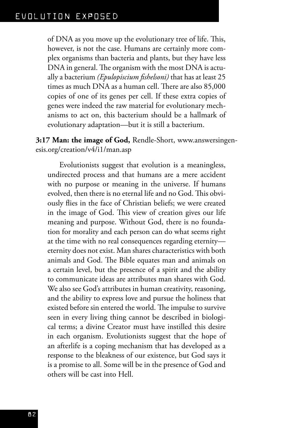of DNA as you move up the evolutionary tree of life. This, however, is not the case. Humans are certainly more complex organisms than bacteria and plants, but they have less DNA in general. The organism with the most DNA is actually a bacterium *(Epulopiscium fishelsoni)* that has at least 25 times as much DNA as a human cell. There are also 85,000 copies of one of its genes per cell. If these extra copies of genes were indeed the raw material for evolutionary mechanisms to act on, this bacterium should be a hallmark of evolutionary adaptation—but it is still a bacterium.

**3:17 Man: the image of God,** Rendle-Short, www.answersingenesis.org/creation/v4/i1/man.asp

Evolutionists suggest that evolution is a meaningless, undirected process and that humans are a mere accident with no purpose or meaning in the universe. If humans evolved, then there is no eternal life and no God. This obviously flies in the face of Christian beliefs; we were created in the image of God. This view of creation gives our life meaning and purpose. Without God, there is no foundation for morality and each person can do what seems right at the time with no real consequences regarding eternity eternity does not exist. Man shares characteristics with both animals and God. The Bible equates man and animals on a certain level, but the presence of a spirit and the ability to communicate ideas are attributes man shares with God. We also see God's attributes in human creativity, reasoning, and the ability to express love and pursue the holiness that existed before sin entered the world. The impulse to survive seen in every living thing cannot be described in biological terms; a divine Creator must have instilled this desire in each organism. Evolutionists suggest that the hope of an afterlife is a coping mechanism that has developed as a response to the bleakness of our existence, but God says it is a promise to all. Some will be in the presence of God and others will be cast into Hell.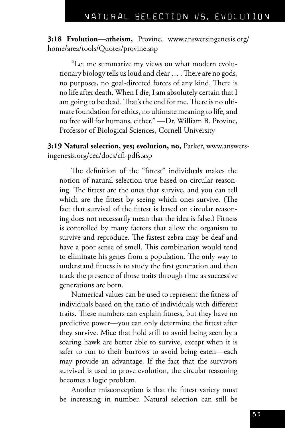**3:18 Evolution—atheism,** Provine, www.answersingenesis.org/ home/area/tools/Quotes/provine.asp

"Let me summarize my views on what modern evolutionary biology tells us loud and clear … . There are no gods, no purposes, no goal-directed forces of any kind. There is no life after death. When I die, I am absolutely certain that I am going to be dead. That's the end for me. There is no ultimate foundation for ethics, no ultimate meaning to life, and no free will for humans, either." —Dr. William B. Provine, Professor of Biological Sciences, Cornell University

**3:19 Natural selection, yes; evolution, no,** Parker, www.answersingenesis.org/cec/docs/cfl-pdfs.asp

The definition of the "fittest" individuals makes the notion of natural selection true based on circular reasoning. The fittest are the ones that survive, and you can tell which are the fittest by seeing which ones survive. (The fact that survival of the fittest is based on circular reasoning does not necessarily mean that the idea is false.) Fitness is controlled by many factors that allow the organism to survive and reproduce. The fastest zebra may be deaf and have a poor sense of smell. This combination would tend to eliminate his genes from a population. The only way to understand fitness is to study the first generation and then track the presence of those traits through time as successive generations are born.

Numerical values can be used to represent the fitness of individuals based on the ratio of individuals with different traits. These numbers can explain fitness, but they have no predictive power—you can only determine the fittest after they survive. Mice that hold still to avoid being seen by a soaring hawk are better able to survive, except when it is safer to run to their burrows to avoid being eaten—each may provide an advantage. If the fact that the survivors survived is used to prove evolution, the circular reasoning becomes a logic problem.

Another misconception is that the fittest variety must be increasing in number. Natural selection can still be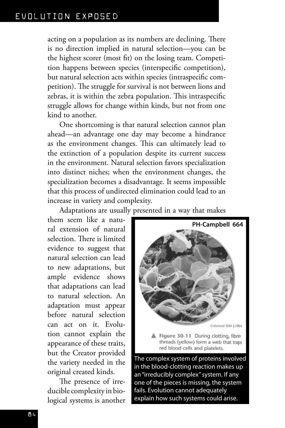acting on a population as its numbers are declining. There is no direction implied in natural selection—you can be the highest scorer (most fit) on the losing team. Competition happens between species (interspecific competition), but natural selection acts within species (intraspecific competition). The struggle for survival is not between lions and zebras, it is within the zebra population. This intraspecific struggle allows for change within kinds, but not from one kind to another.

One shortcoming is that natural selection cannot plan ahead—an advantage one day may become a hindrance as the environment changes. This can ultimately lead to the extinction of a population despite its current success in the environment. Natural selection favors specialization into distinct niches; when the environment changes, the specialization becomes a disadvantage. It seems impossible that this process of undirected elimination could lead to an increase in variety and complexity.

Adaptations are usually presented in a way that makes

them seem like a natural extension of natural selection. There is limited evidence to suggest that natural selection can lead to new adaptations, but ample evidence shows that adaptations can lead to natural selection. An adaptation must appear before natural selection can act on it. Evolution cannot explain the appearance of these traits, but the Creator provided the variety needed in the original created kinds.

The presence of irreducible complexity in biological systems is another



Figure 30-11 During clotting, fibrin threads (yellow) form a web that traps red blood cells and platelets.

The complex system of proteins involved in the blood-clotting reaction makes up an "irreducibly complex" system. If any one of the pieces is missing, the system fails. Evolution cannot adequately explain how such systems could arise.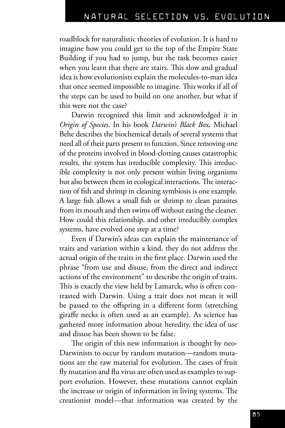roadblock for naturalistic theories of evolution. It is hard to imagine how you could get to the top of the Empire State Building if you had to jump, but the task becomes easier when you learn that there are stairs. This slow and gradual idea is how evolutionists explain the molecules-to-man idea that once seemed impossible to imagine. This works if all of the steps can be used to build on one another, but what if this were not the case?

Darwin recognized this limit and acknowledged it in *Origin of Species*. In his book *Darwin's Black Box,* Michael Behe describes the biochemical details of several systems that need all of their parts present to function. Since removing one of the proteins involved in blood-clotting causes catastrophic results, the system has irreducible complexity. This irreducible complexity is not only present within living organisms but also between them in ecological interactions. The interaction of fish and shrimp in cleaning symbiosis is one example. A large fish allows a small fish or shrimp to clean parasites from its mouth and then swims off without eating the cleaner. How could this relationship, and other irreducibly complex systems, have evolved one step at a time?

Even if Darwin's ideas can explain the maintenance of traits and variation within a kind, they do not address the actual origin of the traits in the first place. Darwin used the phrase "from use and disuse, from the direct and indirect actions of the environment" to describe the origin of traits. This is exactly the view held by Lamarck, who is often contrasted with Darwin. Using a trait does not mean it will be passed to the offspring in a different form (stretching giraffe necks is often used as an example). As science has gathered more information about heredity, the idea of use and disuse has been shown to be false.

The origin of this new information is thought by neo-Darwinists to occur by random mutation—random mutations are the raw material for evolution. The cases of fruit fly mutation and flu virus are often used as examples to support evolution. However, these mutations cannot explain the increase or origin of information in living systems. The creationist model—that information was created by the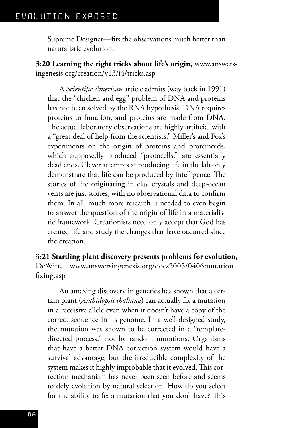Supreme Designer—fits the observations much better than naturalistic evolution.

**3:20 Learning the right tricks about life's origin,** www.answersingenesis.org/creation/v13/i4/tricks.asp

A *Scientific American* article admits (way back in 1991) that the "chicken and egg" problem of DNA and proteins has not been solved by the RNA hypothesis. DNA requires proteins to function, and proteins are made from DNA. The actual laboratory observations are highly artificial with a "great deal of help from the scientists." Miller's and Fox's experiments on the origin of proteins and proteinoids, which supposedly produced "protocells," are essentially dead ends. Clever attempts at producing life in the lab only demonstrate that life can be produced by intelligence. The stories of life originating in clay crystals and deep-ocean vents are just stories, with no observational data to confirm them. In all, much more research is needed to even begin to answer the question of the origin of life in a materialistic framework. Creationists need only accept that God has created life and study the changes that have occurred since the creation.

**3:21 Startling plant discovery presents problems for evolution,** DeWitt, www.answersingenesis.org/docs2005/0406mutation\_ fixing.asp

An amazing discovery in genetics has shown that a certain plant (*Arabidopsis thaliana*) can actually fix a mutation in a recessive allele even when it doesn't have a copy of the correct sequence in its genome. In a well-designed study, the mutation was shown to be corrected in a "templatedirected process," not by random mutations. Organisms that have a better DNA correction system would have a survival advantage, but the irreducible complexity of the system makes it highly improbable that it evolved. This correction mechanism has never been seen before and seems to defy evolution by natural selection. How do you select for the ability to fix a mutation that you don't have? This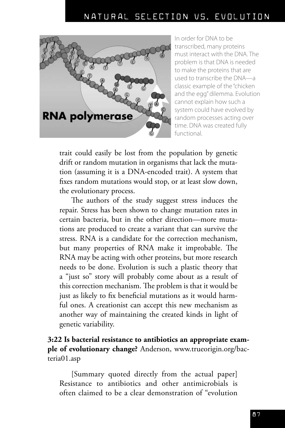

In order for DNA to be transcribed, many proteins must interact with the DNA. The problem is that DNA is needed to make the proteins that are used to transcribe the DNA—a classic example of the "chicken and the egg" dilemma. Evolution cannot explain how such a system could have evolved by random processes acting over time. DNA was created fully functional.

trait could easily be lost from the population by genetic drift or random mutation in organisms that lack the mutation (assuming it is a DNA-encoded trait). A system that fixes random mutations would stop, or at least slow down, the evolutionary process.

The authors of the study suggest stress induces the repair. Stress has been shown to change mutation rates in certain bacteria, but in the other direction—more mutations are produced to create a variant that can survive the stress. RNA is a candidate for the correction mechanism, but many properties of RNA make it improbable. The RNA may be acting with other proteins, but more research needs to be done. Evolution is such a plastic theory that a "just so" story will probably come about as a result of this correction mechanism. The problem is that it would be just as likely to fix beneficial mutations as it would harmful ones. A creationist can accept this new mechanism as another way of maintaining the created kinds in light of genetic variability.

### **3:22 Is bacterial resistance to antibiotics an appropriate example of evolutionary change?** Anderson, www.trueorigin.org/bacteria01.asp

[Summary quoted directly from the actual paper] Resistance to antibiotics and other antimicrobials is often claimed to be a clear demonstration of "evolution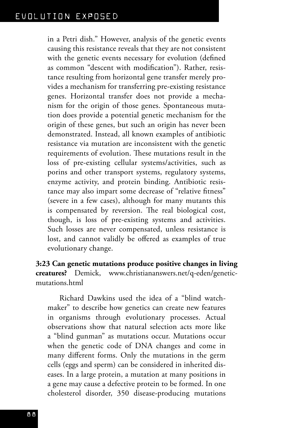in a Petri dish." However, analysis of the genetic events causing this resistance reveals that they are not consistent with the genetic events necessary for evolution (defined as common "descent with modification"). Rather, resistance resulting from horizontal gene transfer merely provides a mechanism for transferring pre-existing resistance genes. Horizontal transfer does not provide a mechanism for the origin of those genes. Spontaneous mutation does provide a potential genetic mechanism for the origin of these genes, but such an origin has never been demonstrated. Instead, all known examples of antibiotic resistance via mutation are inconsistent with the genetic requirements of evolution. These mutations result in the loss of pre-existing cellular systems/activities, such as porins and other transport systems, regulatory systems, enzyme activity, and protein binding. Antibiotic resistance may also impart some decrease of "relative fitness" (severe in a few cases), although for many mutants this is compensated by reversion. The real biological cost, though, is loss of pre-existing systems and activities. Such losses are never compensated, unless resistance is lost, and cannot validly be offered as examples of true evolutionary change.

**3:23 Can genetic mutations produce positive changes in living creatures?** Demick, www.christiananswers.net/q-eden/geneticmutations.html

Richard Dawkins used the idea of a "blind watchmaker" to describe how genetics can create new features in organisms through evolutionary processes. Actual observations show that natural selection acts more like a "blind gunman" as mutations occur. Mutations occur when the genetic code of DNA changes and come in many different forms. Only the mutations in the germ cells (eggs and sperm) can be considered in inherited diseases. In a large protein, a mutation at many positions in a gene may cause a defective protein to be formed. In one cholesterol disorder, 350 disease-producing mutations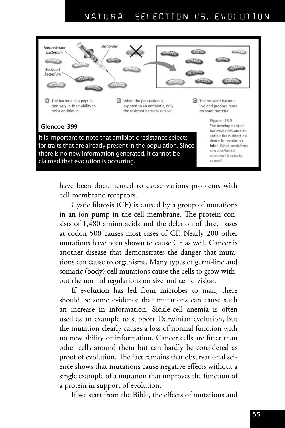### N A T U R AL SELECTION VS. EVOLUTION



have been documented to cause various problems with cell membrane receptors.

Cystic fibrosis (CF) is caused by a group of mutations in an ion pump in the cell membrane. The protein consists of 1,480 amino acids and the deletion of three bases at codon 508 causes most cases of CF. Nearly 200 other mutations have been shown to cause CF as well. Cancer is another disease that demonstrates the danger that mutations can cause to organisms. Many types of germ-line and somatic (body) cell mutations cause the cells to grow without the normal regulations on size and cell division.

If evolution has led from microbes to man, there should be some evidence that mutations can cause such an increase in information. Sickle-cell anemia is often used as an example to support Darwinian evolution, but the mutation clearly causes a loss of normal function with no new ability or information. Cancer cells are fitter than other cells around them but can hardly be considered as proof of evolution. The fact remains that observational science shows that mutations cause negative effects without a single example of a mutation that improves the function of a protein in support of evolution.

If we start from the Bible, the effects of mutations and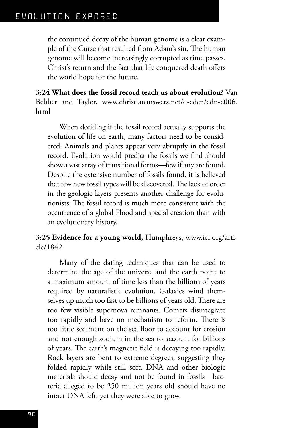the continued decay of the human genome is a clear example of the Curse that resulted from Adam's sin. The human genome will become increasingly corrupted as time passes. Christ's return and the fact that He conquered death offers the world hope for the future.

**3:24 What does the fossil record teach us about evolution?** Van Bebber and Taylor, www.christiananswers.net/q-eden/edn-c006. html

When deciding if the fossil record actually supports the evolution of life on earth, many factors need to be considered. Animals and plants appear very abruptly in the fossil record. Evolution would predict the fossils we find should show a vast array of transitional forms—few if any are found. Despite the extensive number of fossils found, it is believed that few new fossil types will be discovered. The lack of order in the geologic layers presents another challenge for evolutionists. The fossil record is much more consistent with the occurrence of a global Flood and special creation than with an evolutionary history.

**3:25 Evidence for a young world,** Humphreys, www.icr.org/article/1842

Many of the dating techniques that can be used to determine the age of the universe and the earth point to a maximum amount of time less than the billions of years required by naturalistic evolution. Galaxies wind themselves up much too fast to be billions of years old. There are too few visible supernova remnants. Comets disintegrate too rapidly and have no mechanism to reform. There is too little sediment on the sea floor to account for erosion and not enough sodium in the sea to account for billions of years. The earth's magnetic field is decaying too rapidly. Rock layers are bent to extreme degrees, suggesting they folded rapidly while still soft. DNA and other biologic materials should decay and not be found in fossils—bacteria alleged to be 250 million years old should have no intact DNA left, yet they were able to grow.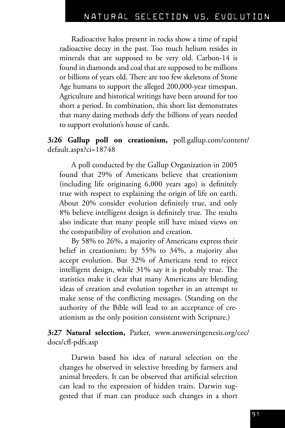Radioactive halos present in rocks show a time of rapid radioactive decay in the past. Too much helium resides in minerals that are supposed to be very old. Carbon-14 is found in diamonds and coal that are supposed to be millions or billions of years old. There are too few skeletons of Stone Age humans to support the alleged 200,000-year timespan. Agriculture and historical writings have been around for too short a period. In combination, this short list demonstrates that many dating methods defy the billions of years needed to support evolution's house of cards.

### **3:26 Gallup poll on creationism,** poll.gallup.com/content/ default.aspx?ci=18748

A poll conducted by the Gallup Organization in 2005 found that 29% of Americans believe that creationism (including life originating 6,000 years ago) is definitely true with respect to explaining the origin of life on earth. About 20% consider evolution definitely true, and only 8% believe intelligent design is definitely true. The results also indicate that many people still have mixed views on the compatibility of evolution and creation.

By 58% to 26%, a majority of Americans express their belief in creationism; by 55% to 34%, a majority also accept evolution. But 32% of Americans tend to reject intelligent design, while 31% say it is probably true. The statistics make it clear that many Americans are blending ideas of creation and evolution together in an attempt to make sense of the conflicting messages. (Standing on the authority of the Bible will lead to an acceptance of creationism as the only position consistent with Scripture.)

### **3:27 Natural selection,** Parker, www.answersingenesis.org/cec/ docs/cfl-pdfs.asp

Darwin based his idea of natural selection on the changes he observed in selective breeding by farmers and animal breeders. It can be observed that artificial selection can lead to the expression of hidden traits. Darwin suggested that if man can produce such changes in a short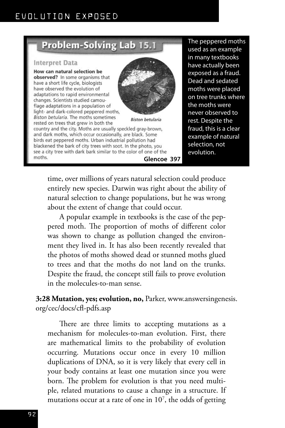# **Problem-Solving Lab 15**

### **Interpret Data**



The peppered moths used as an example in many textbooks have actually been exposed as a fraud. Dead and sedated moths were placed on tree trunks where the moths were never observed to rest. Despite the fraud, this is a clear example of natural selection, not evolution.

time, over millions of years natural selection could produce entirely new species. Darwin was right about the ability of natural selection to change populations, but he was wrong about the extent of change that could occur.

A popular example in textbooks is the case of the peppered moth. The proportion of moths of different color was shown to change as pollution changed the environment they lived in. It has also been recently revealed that the photos of moths showed dead or stunned moths glued to trees and that the moths do not land on the trunks. Despite the fraud, the concept still fails to prove evolution in the molecules-to-man sense.

**3:28 Mutation, yes; evolution, no,** Parker, www.answersingenesis. org/cec/docs/cfl-pdfs.asp

There are three limits to accepting mutations as a mechanism for molecules-to-man evolution. First, there are mathematical limits to the probability of evolution occurring. Mutations occur once in every 10 million duplications of DNA, so it is very likely that every cell in your body contains at least one mutation since you were born. The problem for evolution is that you need multiple, related mutations to cause a change in a structure. If mutations occur at a rate of one in  $10^7$ , the odds of getting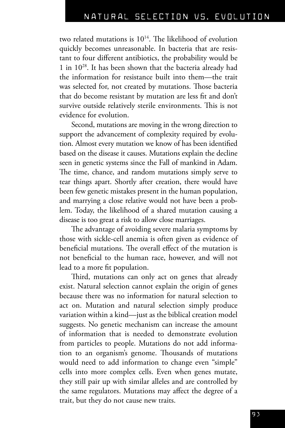two related mutations is 1014. The likelihood of evolution quickly becomes unreasonable. In bacteria that are resistant to four different antibiotics, the probability would be 1 in 1028. It has been shown that the bacteria already had the information for resistance built into them—the trait was selected for, not created by mutations. Those bacteria that do become resistant by mutation are less fit and don't survive outside relatively sterile environments. This is not evidence for evolution.

Second, mutations are moving in the wrong direction to support the advancement of complexity required by evolution. Almost every mutation we know of has been identified based on the disease it causes. Mutations explain the decline seen in genetic systems since the Fall of mankind in Adam. The time, chance, and random mutations simply serve to tear things apart. Shortly after creation, there would have been few genetic mistakes present in the human population, and marrying a close relative would not have been a problem. Today, the likelihood of a shared mutation causing a disease is too great a risk to allow close marriages.

The advantage of avoiding severe malaria symptoms by those with sickle-cell anemia is often given as evidence of beneficial mutations. The overall effect of the mutation is not beneficial to the human race, however, and will not lead to a more fit population.

Third, mutations can only act on genes that already exist. Natural selection cannot explain the origin of genes because there was no information for natural selection to act on. Mutation and natural selection simply produce variation within a kind—just as the biblical creation model suggests. No genetic mechanism can increase the amount of information that is needed to demonstrate evolution from particles to people. Mutations do not add information to an organism's genome. Thousands of mutations would need to add information to change even "simple" cells into more complex cells. Even when genes mutate, they still pair up with similar alleles and are controlled by the same regulators. Mutations may affect the degree of a trait, but they do not cause new traits.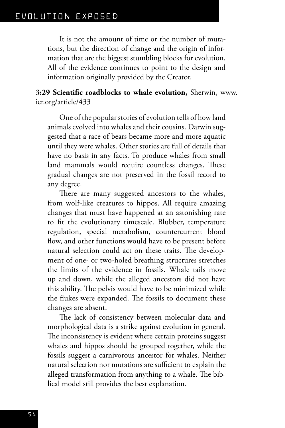It is not the amount of time or the number of mutations, but the direction of change and the origin of information that are the biggest stumbling blocks for evolution. All of the evidence continues to point to the design and information originally provided by the Creator.

### **3:29 Scientific roadblocks to whale evolution,** Sherwin, www. icr.org/article/433

One of the popular stories of evolution tells of how land animals evolved into whales and their cousins. Darwin suggested that a race of bears became more and more aquatic until they were whales. Other stories are full of details that have no basis in any facts. To produce whales from small land mammals would require countless changes. These gradual changes are not preserved in the fossil record to any degree.

There are many suggested ancestors to the whales, from wolf-like creatures to hippos. All require amazing changes that must have happened at an astonishing rate to fit the evolutionary timescale. Blubber, temperature regulation, special metabolism, countercurrent blood flow, and other functions would have to be present before natural selection could act on these traits. The development of one- or two-holed breathing structures stretches the limits of the evidence in fossils. Whale tails move up and down, while the alleged ancestors did not have this ability. The pelvis would have to be minimized while the flukes were expanded. The fossils to document these changes are absent.

The lack of consistency between molecular data and morphological data is a strike against evolution in general. The inconsistency is evident where certain proteins suggest whales and hippos should be grouped together, while the fossils suggest a carnivorous ancestor for whales. Neither natural selection nor mutations are sufficient to explain the alleged transformation from anything to a whale. The biblical model still provides the best explanation.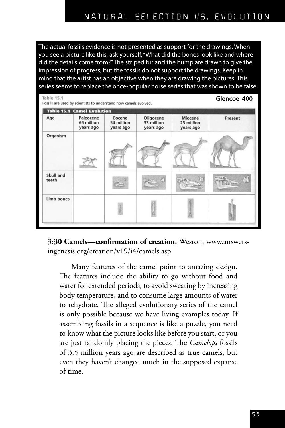The actual fossils evidence is not presented as support for the drawings. When you see a picture like this, ask yourself, "What did the bones look like and where did the details come from?" The striped fur and the hump are drawn to give the impression of progress, but the fossils do not support the drawings. Keep in mind that the artist has an objective when they are drawing the pictures. This series seems to replace the once-popular horse series that was shown to be false.

| Table 15.1                        |                                      | Fossils are used by scientists to understand how camels evolved. |                                      |                                           | Glencoe 400 |  |  |
|-----------------------------------|--------------------------------------|------------------------------------------------------------------|--------------------------------------|-------------------------------------------|-------------|--|--|
| <b>Table 15.1 Camel Evolution</b> |                                      |                                                                  |                                      |                                           |             |  |  |
| Age                               | Paleocene<br>65 million<br>years ago | Eocene<br>54 million<br>years ago                                | Oligocene<br>33 million<br>years ago | <b>Miocene</b><br>23 million<br>years ago | Present     |  |  |
| Organism                          |                                      |                                                                  |                                      |                                           |             |  |  |
| Skull and<br>teeth                |                                      |                                                                  |                                      |                                           |             |  |  |
| Limb bones                        |                                      |                                                                  |                                      |                                           |             |  |  |

**3:30 Camels—confirmation of creation,** Weston, www.answersingenesis.org/creation/v19/i4/camels.asp

Many features of the camel point to amazing design. The features include the ability to go without food and water for extended periods, to avoid sweating by increasing body temperature, and to consume large amounts of water to rehydrate. The alleged evolutionary series of the camel is only possible because we have living examples today. If assembling fossils in a sequence is like a puzzle, you need to know what the picture looks like before you start, or you are just randomly placing the pieces. The *Camelops* fossils of 3.5 million years ago are described as true camels, but even they haven't changed much in the supposed expanse of time.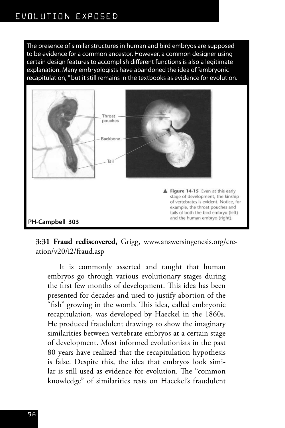### EVOLUTION EXPOSED

The presence of similar structures in human and bird embryos are supposed to be evidence for a common ancestor. However, a common designer using certain design features to accomplish different functions is also a legitimate explanation. Many embryologists have abandoned the idea of "embryonic recapitulation, " but it still remains in the textbooks as evidence for evolution.





It is commonly asserted and taught that human embryos go through various evolutionary stages during the first few months of development. This idea has been presented for decades and used to justify abortion of the "fish" growing in the womb. This idea, called embryonic recapitulation, was developed by Haeckel in the 1860s. He produced fraudulent drawings to show the imaginary similarities between vertebrate embryos at a certain stage of development. Most informed evolutionists in the past 80 years have realized that the recapitulation hypothesis is false. Despite this, the idea that embryos look similar is still used as evidence for evolution. The "common knowledge" of similarities rests on Haeckel's fraudulent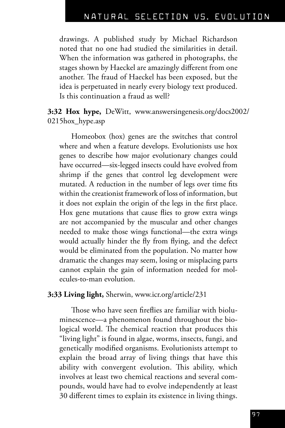drawings. A published study by Michael Richardson noted that no one had studied the similarities in detail. When the information was gathered in photographs, the stages shown by Haeckel are amazingly different from one another. The fraud of Haeckel has been exposed, but the idea is perpetuated in nearly every biology text produced. Is this continuation a fraud as well?

**3:32 Hox hype,** DeWitt, www.answersingenesis.org/docs2002/ 0215hox\_hype.asp

Homeobox (hox) genes are the switches that control where and when a feature develops. Evolutionists use hox genes to describe how major evolutionary changes could have occurred—six-legged insects could have evolved from shrimp if the genes that control leg development were mutated. A reduction in the number of legs over time fits within the creationist framework of loss of information, but it does not explain the origin of the legs in the first place. Hox gene mutations that cause flies to grow extra wings are not accompanied by the muscular and other changes needed to make those wings functional—the extra wings would actually hinder the fly from flying, and the defect would be eliminated from the population. No matter how dramatic the changes may seem, losing or misplacing parts cannot explain the gain of information needed for molecules-to-man evolution.

### **3:33 Living light,** Sherwin, www.icr.org/article/231

Those who have seen fireflies are familiar with bioluminescence—a phenomenon found throughout the biological world. The chemical reaction that produces this "living light" is found in algae, worms, insects, fungi, and genetically modified organisms. Evolutionists attempt to explain the broad array of living things that have this ability with convergent evolution. This ability, which involves at least two chemical reactions and several compounds, would have had to evolve independently at least 30 different times to explain its existence in living things.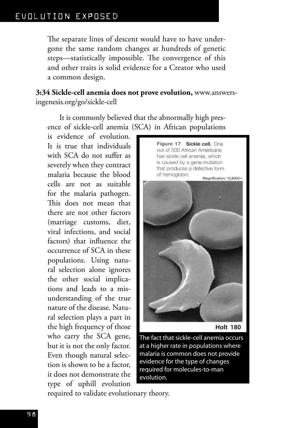### EVOLUTION EXPOSED

The separate lines of descent would have to have undergone the same random changes at hundreds of genetic steps—statistically impossible. The convergence of this and other traits is solid evidence for a Creator who used a common design.

### **3:34 Sickle-cell anemia does not prove evolution,** www.answersingenesis.org/go/sickle-cell

It is commonly believed that the abnormally high presence of sickle-cell anemia (SCA) in African populations

is evidence of evolution. It is true that individuals with SCA do not suffer as severely when they contract malaria because the blood cells are not as suitable for the malaria pathogen. This does not mean that there are not other factors (marriage customs, diet, viral infections, and social factors) that influence the occurrence of SCA in these populations. Using natural selection alone ignores the other social implications and leads to a misunderstanding of the true nature of the disease. Natural selection plays a part in the high frequency of those who carry the SCA gene, but it is not the only factor. Even though natural selection is shown to be a factor, it does not demonstrate the type of uphill evolution



**Holt 180**

The fact that sickle-cell anemia occurs at a higher rate in populations where malaria is common does not provide evidence for the type of changes required for molecules-to-man evolution.

required to validate evolutionary theory.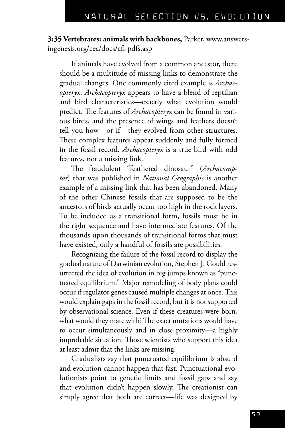**3:35 Vertebrates: animals with backbones,** Parker, www.answersingenesis.org/cec/docs/cfl-pdfs.asp

If animals have evolved from a common ancestor, there should be a multitude of missing links to demonstrate the gradual changes. One commonly cited example is *Archaeopteryx*. *Archaeopteryx* appears to have a blend of reptilian and bird characteristics—exactly what evolution would predict. The features of *Archaeopteryx* can be found in various birds, and the presence of wings and feathers doesn't tell you how—or if—they evolved from other structures. These complex features appear suddenly and fully formed in the fossil record. *Archaeopteryx* is a true bird with odd features, not a missing link.

The fraudulent "feathered dinosaur" (*Archaeoraptor*) that was published in *National Geographic* is another example of a missing link that has been abandoned. Many of the other Chinese fossils that are supposed to be the ancestors of birds actually occur too high in the rock layers. To be included as a transitional form, fossils must be in the right sequence and have intermediate features. Of the thousands upon thousands of transitional forms that must have existed, only a handful of fossils are possibilities.

Recognizing the failure of the fossil record to display the gradual nature of Darwinian evolution, Stephen J. Gould resurrected the idea of evolution in big jumps known as "punctuated equilibrium." Major remodeling of body plans could occur if regulator genes caused multiple changes at once. This would explain gaps in the fossil record, but it is not supported by observational science. Even if these creatures were born, what would they mate with? The exact mutations would have to occur simultaneously and in close proximity—a highly improbable situation. Those scientists who support this idea at least admit that the links are missing.

Gradualists say that punctuated equilibrium is absurd and evolution cannot happen that fast. Punctuational evolutionists point to genetic limits and fossil gaps and say that evolution didn't happen slowly. The creationist can simply agree that both are correct—life was designed by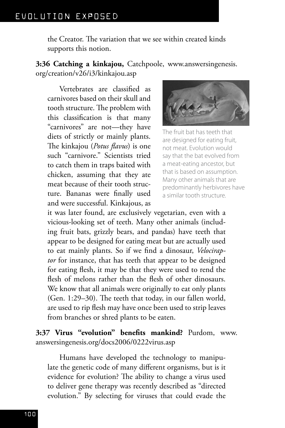the Creator. The variation that we see within created kinds supports this notion.

**3:36 Catching a kinkajou,** Catchpoole, www.answersingenesis. org/creation/v26/i3/kinkajou.asp

Vertebrates are classified as carnivores based on their skull and tooth structure. The problem with this classification is that many "carnivores" are not—they have diets of strictly or mainly plants. The kinkajou (*Potus flavus*) is one such "carnivore." Scientists tried to catch them in traps baited with chicken, assuming that they ate meat because of their tooth structure. Bananas were finally used and were successful. Kinkajous, as



The fruit bat has teeth that are designed for eating fruit, not meat. Evolution would say that the bat evolved from a meat-eating ancestor, but that is based on assumption. Many other animals that are predominantly herbivores have a similar tooth structure.

it was later found, are exclusively vegetarian, even with a vicious-looking set of teeth. Many other animals (including fruit bats, grizzly bears, and pandas) have teeth that appear to be designed for eating meat but are actually used to eat mainly plants. So if we find a dinosaur, *Velociraptor* for instance, that has teeth that appear to be designed for eating flesh, it may be that they were used to rend the flesh of melons rather than the flesh of other dinosaurs. We know that all animals were originally to eat only plants (Gen. 1:29–30). The teeth that today, in our fallen world, are used to rip flesh may have once been used to strip leaves from branches or shred plants to be eaten.

**3:37 Virus "evolution" benefits mankind?** Purdom, www. answersingenesis.org/docs2006/0222virus.asp

Humans have developed the technology to manipulate the genetic code of many different organisms, but is it evidence for evolution? The ability to change a virus used to deliver gene therapy was recently described as "directed evolution." By selecting for viruses that could evade the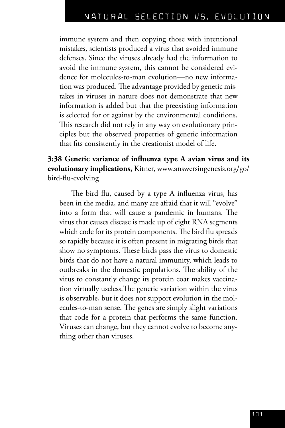immune system and then copying those with intentional mistakes, scientists produced a virus that avoided immune defenses. Since the viruses already had the information to avoid the immune system, this cannot be considered evidence for molecules-to-man evolution—no new information was produced. The advantage provided by genetic mistakes in viruses in nature does not demonstrate that new information is added but that the preexisting information is selected for or against by the environmental conditions. This research did not rely in any way on evolutionary principles but the observed properties of genetic information that fits consistently in the creationist model of life.

**3:38 Genetic variance of influenza type A avian virus and its evolutionary implications,** Kitner, www.answersingenesis.org/go/ bird-flu-evolving

The bird flu, caused by a type A influenza virus, has been in the media, and many are afraid that it will "evolve" into a form that will cause a pandemic in humans. The virus that causes disease is made up of eight RNA segments which code for its protein components. The bird flu spreads so rapidly because it is often present in migrating birds that show no symptoms. These birds pass the virus to domestic birds that do not have a natural immunity, which leads to outbreaks in the domestic populations. The ability of the virus to constantly change its protein coat makes vaccination virtually useless.The genetic variation within the virus is observable, but it does not support evolution in the molecules-to-man sense. The genes are simply slight variations that code for a protein that performs the same function. Viruses can change, but they cannot evolve to become anything other than viruses.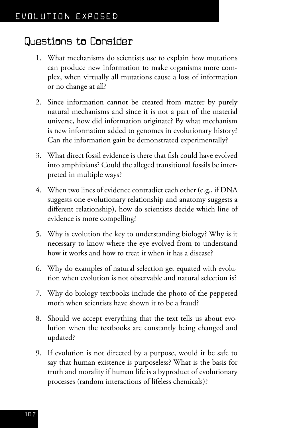# Questions to Consider

- What mechanisms do scientists use to explain how mutations 1. can produce new information to make organisms more complex, when virtually all mutations cause a loss of information or no change at all?
- 2. Since information cannot be created from matter by purely natural mechanisms and since it is not a part of the material universe, how did information originate? By what mechanism is new information added to genomes in evolutionary history? Can the information gain be demonstrated experimentally?
- What direct fossil evidence is there that fish could have evolved 3. into amphibians? Could the alleged transitional fossils be interpreted in multiple ways?
- When two lines of evidence contradict each other (e.g., if DNA 4. suggests one evolutionary relationship and anatomy suggests a different relationship), how do scientists decide which line of evidence is more compelling?
- Why is evolution the key to understanding biology? Why is it 5. necessary to know where the eye evolved from to understand how it works and how to treat it when it has a disease?
- Why do examples of natural selection get equated with evolu-6. tion when evolution is not observable and natural selection is?
- Why do biology textbooks include the photo of the peppered 7. moth when scientists have shown it to be a fraud?
- Should we accept everything that the text tells us about evo-8. lution when the textbooks are constantly being changed and updated?
- If evolution is not directed by a purpose, would it be safe to 9.say that human existence is purposeless? What is the basis for truth and morality if human life is a byproduct of evolutionary processes (random interactions of lifeless chemicals)?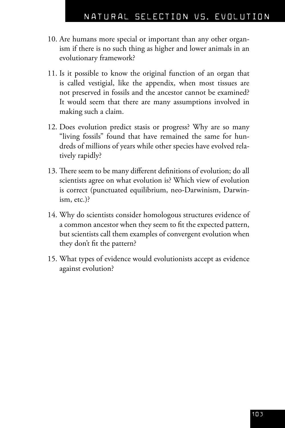- 10. Are humans more special or important than any other organism if there is no such thing as higher and lower animals in an evolutionary framework?
- 11. Is it possible to know the original function of an organ that is called vestigial, like the appendix, when most tissues are not preserved in fossils and the ancestor cannot be examined? It would seem that there are many assumptions involved in making such a claim.
- 12. Does evolution predict stasis or progress? Why are so many "living fossils" found that have remained the same for hundreds of millions of years while other species have evolved relatively rapidly?
- 13. There seem to be many different definitions of evolution; do all scientists agree on what evolution is? Which view of evolution is correct (punctuated equilibrium, neo-Darwinism, Darwinism, etc.)?
- Why do scientists consider homologous structures evidence of 14. a common ancestor when they seem to fit the expected pattern, but scientists call them examples of convergent evolution when they don't fit the pattern?
- What types of evidence would evolutionists accept as evidence 15.against evolution?